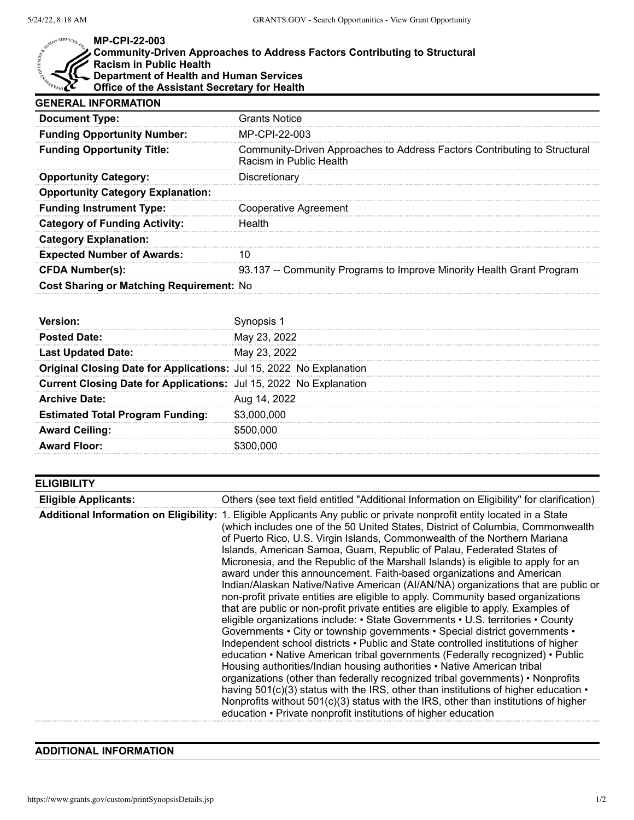

## **MP-CPI-22-003**

## **Community-Driven Approaches to Address Factors Contributing to Structural Racism in Public Health Department of Health and Human Services Office of the Assistant Secretary for Health**

| <b>Grants Notice</b>                                                                                 |
|------------------------------------------------------------------------------------------------------|
| MP-CPI-22-003                                                                                        |
| Community-Driven Approaches to Address Factors Contributing to Structural<br>Racism in Public Health |
| Discretionary                                                                                        |
|                                                                                                      |
| Cooperative Agreement                                                                                |
| Health                                                                                               |
|                                                                                                      |
| 10                                                                                                   |
| 93.137 -- Community Programs to Improve Minority Health Grant Program                                |
| Cost Sharing or Matching Requirement: No                                                             |
|                                                                                                      |

| Version <sup>.</sup>                                                |              |
|---------------------------------------------------------------------|--------------|
| <b>Posted Date:</b>                                                 | May 23, 2022 |
| <b>Last Updated Date:</b>                                           | May 23, 2022 |
| Original Closing Date for Applications: Jul 15, 2022 No Explanation |              |
| Current Closing Date for Applications: Jul 15, 2022 No Explanation  |              |
| <b>Archive Date:</b>                                                | Aug 14, 2022 |
| <b>Estimated Total Program Funding:</b>                             | \$3,000,000  |
| <b>Award Ceiling:</b>                                               | \$500,000    |
| <b>Award Floor:</b>                                                 | \$300.000    |

| <b>ELIGIBILITY</b>          |                                                                                                                                                                                                                                                                                                                                                                                                                                                                                                                                                                                                                                                                                                                                                                                                                                                                                                                                                                                                                                                                                                                                                                                                                                                                                                                                                                                                                                                                                                                                                                    |
|-----------------------------|--------------------------------------------------------------------------------------------------------------------------------------------------------------------------------------------------------------------------------------------------------------------------------------------------------------------------------------------------------------------------------------------------------------------------------------------------------------------------------------------------------------------------------------------------------------------------------------------------------------------------------------------------------------------------------------------------------------------------------------------------------------------------------------------------------------------------------------------------------------------------------------------------------------------------------------------------------------------------------------------------------------------------------------------------------------------------------------------------------------------------------------------------------------------------------------------------------------------------------------------------------------------------------------------------------------------------------------------------------------------------------------------------------------------------------------------------------------------------------------------------------------------------------------------------------------------|
| <b>Eligible Applicants:</b> | Others (see text field entitled "Additional Information on Eligibility" for clarification)                                                                                                                                                                                                                                                                                                                                                                                                                                                                                                                                                                                                                                                                                                                                                                                                                                                                                                                                                                                                                                                                                                                                                                                                                                                                                                                                                                                                                                                                         |
|                             | <b>Additional Information on Eligibility:</b> 1. Eligible Applicants Any public or private nonprofit entity located in a State<br>(which includes one of the 50 United States, District of Columbia, Commonwealth<br>of Puerto Rico, U.S. Virgin Islands, Commonwealth of the Northern Mariana<br>Islands, American Samoa, Guam, Republic of Palau, Federated States of<br>Micronesia, and the Republic of the Marshall Islands) is eligible to apply for an<br>award under this announcement. Faith-based organizations and American<br>Indian/Alaskan Native/Native American (AI/AN/NA) organizations that are public or<br>non-profit private entities are eligible to apply. Community based organizations<br>that are public or non-profit private entities are eligible to apply. Examples of<br>eligible organizations include: • State Governments • U.S. territories • County<br>Governments • City or township governments • Special district governments •<br>Independent school districts • Public and State controlled institutions of higher<br>education • Native American tribal governments (Federally recognized) • Public<br>Housing authorities/Indian housing authorities • Native American tribal<br>organizations (other than federally recognized tribal governments) • Nonprofits<br>having $501(c)(3)$ status with the IRS, other than institutions of higher education $\cdot$<br>Nonprofits without 501(c)(3) status with the IRS, other than institutions of higher<br>education • Private nonprofit institutions of higher education |

## **ADDITIONAL INFORMATION**